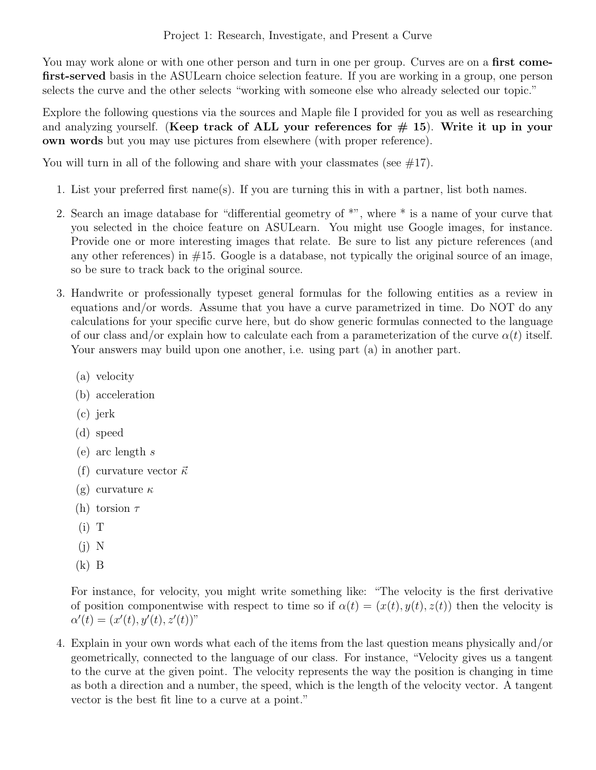You may work alone or with one other person and turn in one per group. Curves are on a **first come**first-served basis in the ASULearn choice selection feature. If you are working in a group, one person selects the curve and the other selects "working with someone else who already selected our topic."

Explore the following questions via the sources and Maple file I provided for you as well as researching and analyzing yourself. (Keep track of ALL your references for  $\#$  15). Write it up in your own words but you may use pictures from elsewhere (with proper reference).

You will turn in all of the following and share with your classmates (see  $\#17$ ).

- 1. List your preferred first name(s). If you are turning this in with a partner, list both names.
- 2. Search an image database for "differential geometry of \*", where \* is a name of your curve that you selected in the choice feature on ASULearn. You might use Google images, for instance. Provide one or more interesting images that relate. Be sure to list any picture references (and any other references) in  $#15$ . Google is a database, not typically the original source of an image, so be sure to track back to the original source.
- 3. Handwrite or professionally typeset general formulas for the following entities as a review in equations and/or words. Assume that you have a curve parametrized in time. Do NOT do any calculations for your specific curve here, but do show generic formulas connected to the language of our class and/or explain how to calculate each from a parameterization of the curve  $\alpha(t)$  itself. Your answers may build upon one another, i.e. using part (a) in another part.
	- (a) velocity
	- (b) acceleration
	- (c) jerk
	- (d) speed
	- (e) arc length s
	- (f) curvature vector  $\vec{\kappa}$
	- (g) curvature κ
	- (h) torsion  $\tau$
	- $(i)$  T
	- (j) N
	- (k) B

For instance, for velocity, you might write something like: "The velocity is the first derivative of position componentwise with respect to time so if  $\alpha(t) = (x(t), y(t), z(t))$  then the velocity is  $\alpha'(t) = (x'(t), y'(t), z'(t))$ "

4. Explain in your own words what each of the items from the last question means physically and/or geometrically, connected to the language of our class. For instance, "Velocity gives us a tangent to the curve at the given point. The velocity represents the way the position is changing in time as both a direction and a number, the speed, which is the length of the velocity vector. A tangent vector is the best fit line to a curve at a point."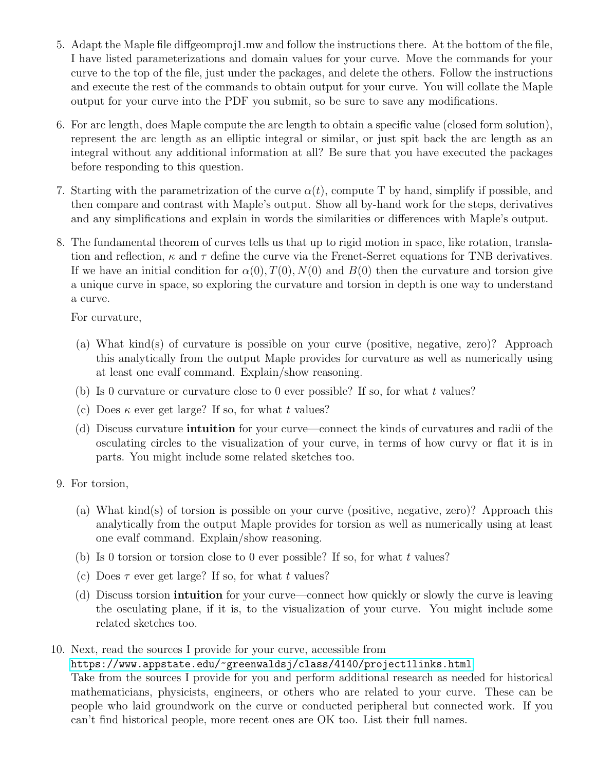- 5. Adapt the Maple file diffgeomproj1.mw and follow the instructions there. At the bottom of the file, I have listed parameterizations and domain values for your curve. Move the commands for your curve to the top of the file, just under the packages, and delete the others. Follow the instructions and execute the rest of the commands to obtain output for your curve. You will collate the Maple output for your curve into the PDF you submit, so be sure to save any modifications.
- 6. For arc length, does Maple compute the arc length to obtain a specific value (closed form solution), represent the arc length as an elliptic integral or similar, or just spit back the arc length as an integral without any additional information at all? Be sure that you have executed the packages before responding to this question.
- 7. Starting with the parametrization of the curve  $\alpha(t)$ , compute T by hand, simplify if possible, and then compare and contrast with Maple's output. Show all by-hand work for the steps, derivatives and any simplifications and explain in words the similarities or differences with Maple's output.
- 8. The fundamental theorem of curves tells us that up to rigid motion in space, like rotation, translation and reflection,  $\kappa$  and  $\tau$  define the curve via the Frenet-Serret equations for TNB derivatives. If we have an initial condition for  $\alpha(0), T(0), N(0)$  and  $B(0)$  then the curvature and torsion give a unique curve in space, so exploring the curvature and torsion in depth is one way to understand a curve.

For curvature,

- (a) What kind(s) of curvature is possible on your curve (positive, negative, zero)? Approach this analytically from the output Maple provides for curvature as well as numerically using at least one evalf command. Explain/show reasoning.
- (b) Is 0 curvature or curvature close to 0 ever possible? If so, for what t values?
- (c) Does  $\kappa$  ever get large? If so, for what t values?
- (d) Discuss curvature intuition for your curve—connect the kinds of curvatures and radii of the osculating circles to the visualization of your curve, in terms of how curvy or flat it is in parts. You might include some related sketches too.
- 9. For torsion,
	- (a) What kind(s) of torsion is possible on your curve (positive, negative, zero)? Approach this analytically from the output Maple provides for torsion as well as numerically using at least one evalf command. Explain/show reasoning.
	- (b) Is 0 torsion or torsion close to 0 ever possible? If so, for what t values?
	- (c) Does  $\tau$  ever get large? If so, for what t values?
	- (d) Discuss torsion intuition for your curve—connect how quickly or slowly the curve is leaving the osculating plane, if it is, to the visualization of your curve. You might include some related sketches too.
- 10. Next, read the sources I provide for your curve, accessible from <https://www.appstate.edu/~greenwaldsj/class/4140/project1links.html>

Take from the sources I provide for you and perform additional research as needed for historical mathematicians, physicists, engineers, or others who are related to your curve. These can be people who laid groundwork on the curve or conducted peripheral but connected work. If you can't find historical people, more recent ones are OK too. List their full names.